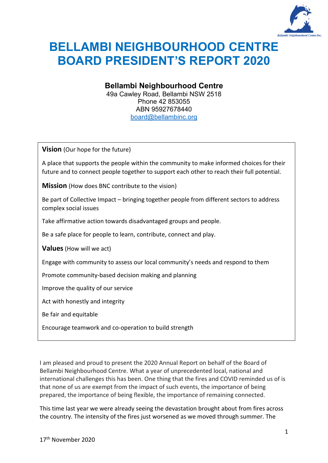

# **BELLAMBI NEIGHBOURHOOD CENTRE BOARD PRESIDENT'S REPORT 2020**

**Bellambi Neighbourhood Centre** 49a Cawley Road, Bellambi NSW 2518

Phone 42 853055 ABN 95927678440 [board@bellambinc.org](mailto:board@bellambinc.org)

**Vision** (Our hope for the future)

A place that supports the people within the community to make informed choices for their future and to connect people together to support each other to reach their full potential.

**Mission** (How does BNC contribute to the vision)

Be part of Collective Impact – bringing together people from different sectors to address complex social issues

Take affirmative action towards disadvantaged groups and people.

Be a safe place for people to learn, contribute, connect and play.

**Values**(How will we act)

Engage with community to assess our local community's needs and respond to them

Promote community-based decision making and planning

Improve the quality of our service

Act with honestly and integrity

Be fair and equitable

Encourage teamwork and co-operation to build strength

I am pleased and proud to present the 2020 Annual Report on behalf of the Board of Bellambi Neighbourhood Centre. What a year of unprecedented local, national and international challenges this has been. One thing that the fires and COVID reminded us of is that none of us are exempt from the impact of such events, the importance of being prepared, the importance of being flexible, the importance of remaining connected.

This time last year we were already seeing the devastation brought about from fires across the country. The intensity of the fires just worsened as we moved through summer. The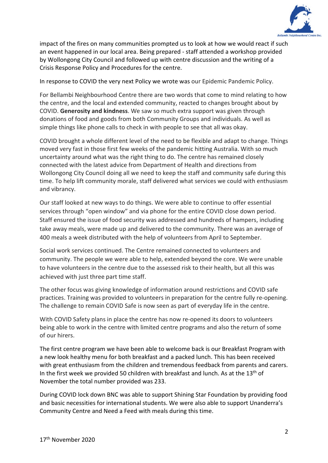

impact of the fires on many communities prompted us to look at how we would react if such an event happened in our local area. Being prepared - staff attended a workshop provided by Wollongong City Council and followed up with centre discussion and the writing of a Crisis Response Policy and Procedures for the centre.

In response to COVID the very next Policy we wrote was our Epidemic Pandemic Policy.

For Bellambi Neighbourhood Centre there are two words that come to mind relating to how the centre, and the local and extended community, reacted to changes brought about by COVID. **Generosity and kindness**. We saw so much extra support was given through donations of food and goods from both Community Groups and individuals. As well as simple things like phone calls to check in with people to see that all was okay.

COVID brought a whole different level of the need to be flexible and adapt to change. Things moved very fast in those first few weeks of the pandemic hitting Australia. With so much uncertainty around what was the right thing to do. The centre has remained closely connected with the latest advice from Department of Health and directions from Wollongong City Council doing all we need to keep the staff and community safe during this time. To help lift community morale, staff delivered what services we could with enthusiasm and vibrancy.

Our staff looked at new ways to do things. We were able to continue to offer essential services through "open window" and via phone for the entire COVID close down period. Staff ensured the issue of food security was addressed and hundreds of hampers, including take away meals, were made up and delivered to the community. There was an average of 400 meals a week distributed with the help of volunteers from April to September.

Social work services continued. The Centre remained connected to volunteers and community. The people we were able to help, extended beyond the core. We were unable to have volunteers in the centre due to the assessed risk to their health, but all this was achieved with just three part time staff.

The other focus was giving knowledge of information around restrictions and COVID safe practices. Training was provided to volunteers in preparation for the centre fully re-opening. The challenge to remain COVID Safe is now seen as part of everyday life in the centre.

With COVID Safety plans in place the centre has now re-opened its doors to volunteers being able to work in the centre with limited centre programs and also the return of some of our hirers.

The first centre program we have been able to welcome back is our Breakfast Program with a new look healthy menu for both breakfast and a packed lunch. This has been received with great enthusiasm from the children and tremendous feedback from parents and carers. In the first week we provided 50 children with breakfast and lunch. As at the 13<sup>th</sup> of November the total number provided was 233.

During COVID lock down BNC was able to support Shining Star Foundation by providing food and basic necessities for international students. We were also able to support Unanderra's Community Centre and Need a Feed with meals during this time.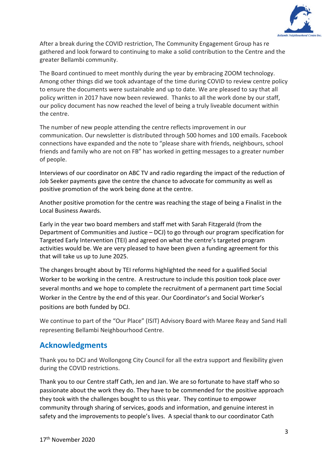

After a break during the COVID restriction, The Community Engagement Group has re gathered and look forward to continuing to make a solid contribution to the Centre and the greater Bellambi community.

The Board continued to meet monthly during the year by embracing ZOOM technology. Among other things did we took advantage of the time during COVID to review centre policy to ensure the documents were sustainable and up to date. We are pleased to say that all policy written in 2017 have now been reviewed. Thanks to all the work done by our staff, our policy document has now reached the level of being a truly liveable document within the centre.

The number of new people attending the centre reflects improvement in our communication. Our newsletter is distributed through 500 homes and 100 emails. Facebook connections have expanded and the note to "please share with friends, neighbours, school friends and family who are not on FB" has worked in getting messages to a greater number of people.

Interviews of our coordinator on ABC TV and radio regarding the impact of the reduction of Job Seeker payments gave the centre the chance to advocate for community as well as positive promotion of the work being done at the centre.

Another positive promotion for the centre was reaching the stage of being a Finalist in the Local Business Awards.

Early in the year two board members and staff met with Sarah Fitzgerald (from the Department of Communities and Justice – DCJ) to go through our program specification for Targeted Early Intervention (TEI) and agreed on what the centre's targeted program activities would be. We are very pleased to have been given a funding agreement for this that will take us up to June 2025.

The changes brought about by TEI reforms highlighted the need for a qualified Social Worker to be working in the centre. A restructure to include this position took place over several months and we hope to complete the recruitment of a permanent part time Social Worker in the Centre by the end of this year. Our Coordinator's and Social Worker's positions are both funded by DCJ.

We continue to part of the "Our Place" (ISIT) Advisory Board with Maree Reay and Sand Hall representing Bellambi Neighbourhood Centre.

### **Acknowledgments**

Thank you to DCJ and Wollongong City Council for all the extra support and flexibility given during the COVID restrictions.

Thank you to our Centre staff Cath, Jen and Jan. We are so fortunate to have staff who so passionate about the work they do. They have to be commended for the positive approach they took with the challenges bought to us this year. They continue to empower community through sharing of services, goods and information, and genuine interest in safety and the improvements to people's lives. A special thank to our coordinator Cath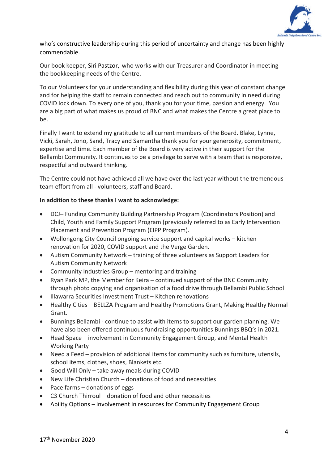

who's constructive leadership during this period of uncertainty and change has been highly commendable.

Our book keeper, Siri Pastzor, who works with our Treasurer and Coordinator in meeting the bookkeeping needs of the Centre.

To our Volunteers for your understanding and flexibility during this year of constant change and for helping the staff to remain connected and reach out to community in need during COVID lock down. To every one of you, thank you for your time, passion and energy. You are a big part of what makes us proud of BNC and what makes the Centre a great place to be.

Finally I want to extend my gratitude to all current members of the Board. Blake, Lynne, Vicki, Sarah, Jono, Sand, Tracy and Samantha thank you for your generosity, commitment, expertise and time. Each member of the Board is very active in their support for the Bellambi Community. It continues to be a privilege to serve with a team that is responsive, respectful and outward thinking.

The Centre could not have achieved all we have over the last year without the tremendous team effort from all - volunteers, staff and Board.

#### **In addition to these thanks I want to acknowledge:**

- DCJ– Funding Community Building Partnership Program (Coordinators Position) and Child, Youth and Family Support Program (previously referred to as Early Intervention Placement and Prevention Program (EIPP Program).
- Wollongong City Council ongoing service support and capital works kitchen renovation for 2020, COVID support and the Verge Garden.
- Autism Community Network training of three volunteers as Support Leaders for Autism Community Network
- Community Industries Group mentoring and training
- Ryan Park MP, the Member for Keira continued support of the BNC Community through photo copying and organisation of a food drive through Bellambi Public School
- Illawarra Securities Investment Trust Kitchen renovations
- Healthy Cities BELLZA Program and Healthy Promotions Grant, Making Healthy Normal Grant.
- Bunnings Bellambi continue to assist with items to support our garden planning. We have also been offered continuous fundraising opportunities Bunnings BBQ's in 2021.
- Head Space involvement in Community Engagement Group, and Mental Health Working Party
- Need a Feed provision of additional items for community such as furniture, utensils, school items, clothes, shoes, Blankets etc.
- Good Will Only take away meals during COVID
- New Life Christian Church donations of food and necessities
- Pace farms donations of eggs
- C3 Church Thirroul donation of food and other necessities
- Ability Options involvement in resources for Community Engagement Group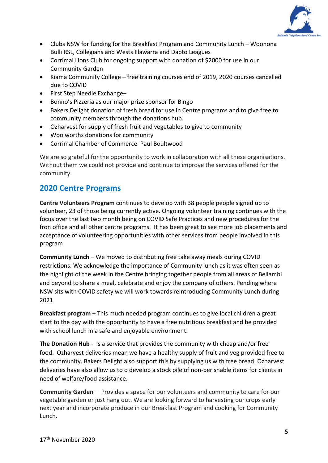

- Clubs NSW for funding for the Breakfast Program and Community Lunch Woonona Bulli RSL, Collegians and Wests Illawarra and Dapto Leagues
- Corrimal Lions Club for ongoing support with donation of \$2000 for use in our Community Garden
- Kiama Community College free training courses end of 2019, 2020 courses cancelled due to COVID
- First Step Needle Exchange–
- Bonno's Pizzeria as our major prize sponsor for Bingo
- Bakers Delight donation of fresh bread for use in Centre programs and to give free to community members through the donations hub.
- Ozharvest for supply of fresh fruit and vegetables to give to community
- Woolworths donations for community
- Corrimal Chamber of Commerce Paul Boultwood

We are so grateful for the opportunity to work in collaboration with all these organisations. Without them we could not provide and continue to improve the services offered for the community.

### **2020 Centre Programs**

**Centre Volunteers Program** continues to develop with 38 people people signed up to volunteer, 23 of those being currently active. Ongoing volunteer training continues with the focus over the last two month being on COVID Safe Practices and new procedures for the fron office and all other centre programs. It has been great to see more job placements and acceptance of volunteering opportunities with other services from people involved in this program

**Community Lunch** – We moved to distributing free take away meals during COVID restrictions. We acknowledge the importance of Community lunch as it was often seen as the highlight of the week in the Centre bringing together people from all areas of Bellambi and beyond to share a meal, celebrate and enjoy the company of others. Pending where NSW sits with COVID safety we will work towards reintroducing Community Lunch during 2021

**Breakfast program** – This much needed program continues to give local children a great start to the day with the opportunity to have a free nutritious breakfast and be provided with school lunch in a safe and enjoyable environment.

**The Donation Hub** - Is a service that provides the community with cheap and/or free food. Ozharvest deliveries mean we have a healthy supply of fruit and veg provided free to the community. Bakers Delight also support this by supplying us with free bread. Ozharvest deliveries have also allow us to o develop a stock pile of non-perishable items for clients in need of welfare/food assistance.

**Community Garden** – Provides a space for our volunteers and community to care for our vegetable garden or just hang out. We are looking forward to harvesting our crops early next year and incorporate produce in our Breakfast Program and cooking for Community Lunch.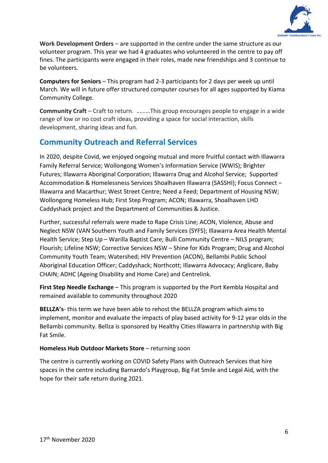

**Work Development Orders** – are supported in the centre under the same structure as our volunteer program. This year we had 4 graduates who volunteered in the centre to pay off fines. The participants were engaged in their roles, made new friendships and 3 continue to be volunteers.

**Computers for Seniors** – This program had 2-3 participants for 2 days per week up until March. We will in future offer structured computer courses for all ages supported by Kiama Community College.

**Community Craft** – Craft to return. ………This group encourages people to engage in a wide range of low or no cost craft ideas, providing a space for social interaction, skills development, sharing ideas and fun.

## **Community Outreach and Referral Services**

In 2020, despite Covid, we enjoyed ongoing mutual and more fruitful contact with Illawarra Family Referral Service; Wollongong Women's Information Service (WWIS); Brighter Futures; Illawarra Aboriginal Corporation; Illawarra Drug and Alcohol Service; Supported Accommodation & Homelessness Services Shoalhaven Illawarra (SASSHI); Focus Connect – Illawarra and Macarthur; West Street Centre; Need a Feed; Department of Housing NSW; Wollongong Homeless Hub; First Step Program; ACON; Illawarra, Shoalhaven LHD Caddyshack project and the Department of Communities & Justice.

Further, successful referrals were made to Rape Crisis Line; ACON, Violence, Abuse and Neglect NSW (VAN Southern Youth and Family Services (SYFS); Illawarra Area Health Mental Health Service; Step Up – Warilla Baptist Care; Bulli Community Centre – NILS program; Flourish; Lifeline NSW; Corrective Services NSW – Shine for Kids Program; Drug and Alcohol Community Youth Team; Watershed; HIV Prevention (ACON), Bellambi Public School Aboriginal Education Officer; Caddyshack; Northcott; Illawarra Advocacy; Anglicare, Baby CHAIN; ADHC (Ageing Disability and Home Care) and Centrelink.

**First Step Needle Exchange** – This program is supported by the Port Kembla Hospital and remained available to community throughout 2020

**BELLZA's**- this term we have been able to rehost the BELLZA program which aims to implement, monitor and evaluate the impacts of play based activity for 9-12 year olds in the Bellambi community. Bellza is sponsored by Healthy Cities Illawarra in partnership with Big Fat Smile.

#### **Homeless Hub Outdoor Markets Store** – returning soon

The centre is currently working on COVID Safety Plans with Outreach Services that hire spaces in the centre including Barnardo's Playgroup, Big Fat Smile and Legal Aid, with the hope for their safe return during 2021.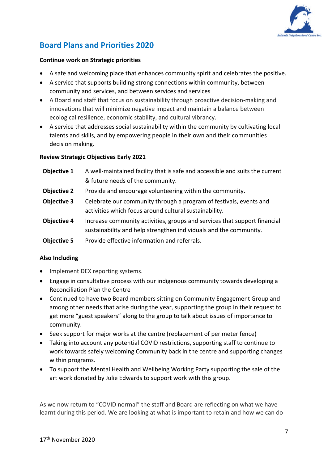

# **Board Plans and Priorities 2020**

#### **Continue work on Strategic priorities**

- A safe and welcoming place that enhances community spirit and celebrates the positive.
- A service that supports building strong connections within community, between community and services, and between services and services
- A Board and staff that focus on sustainability through proactive decision-making and innovations that will minimize negative impact and maintain a balance between ecological resilience, economic stability, and cultural vibrancy.
- A service that addresses social sustainability within the community by cultivating local talents and skills, and b[y empowering](https://en.wikipedia.org/wiki/Empowerment) people in their own and their communities decision making.

#### **Review Strategic Objectives Early 2021**

| Objective 1        | A well-maintained facility that is safe and accessible and suits the current |
|--------------------|------------------------------------------------------------------------------|
|                    | & future needs of the community.                                             |
| <b>Objective 2</b> | Provide and encourage volunteering within the community.                     |
| <b>Objective 3</b> | Celebrate our community through a program of festivals, events and           |
|                    | activities which focus around cultural sustainability.                       |
| <b>Objective 4</b> | Increase community activities, groups and services that support financial    |
|                    | sustainability and help strengthen individuals and the community.            |
| <b>Objective 5</b> | Provide effective information and referrals.                                 |

#### **Also Including**

- Implement DEX reporting systems.
- Engage in consultative process with our indigenous community towards developing a Reconciliation Plan the Centre
- Continued to have two Board members sitting on Community Engagement Group and among other needs that arise during the year, supporting the group in their request to get more "guest speakers" along to the group to talk about issues of importance to community.
- Seek support for major works at the centre (replacement of perimeter fence)
- Taking into account any potential COVID restrictions, supporting staff to continue to work towards safely welcoming Community back in the centre and supporting changes within programs.
- To support the Mental Health and Wellbeing Working Party supporting the sale of the art work donated by Julie Edwards to support work with this group.

As we now return to "COVID normal" the staff and Board are reflecting on what we have learnt during this period. We are looking at what is important to retain and how we can do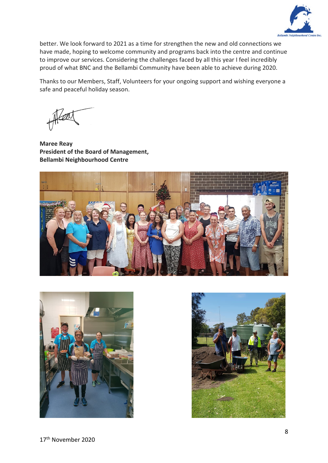

better. We look forward to 2021 as a time for strengthen the new and old connections we have made, hoping to welcome community and programs back into the centre and continue to improve our services. Considering the challenges faced by all this year I feel incredibly proud of what BNC and the Bellambi Community have been able to achieve during 2020.

Thanks to our Members, Staff, Volunteers for your ongoing support and wishing everyone a safe and peaceful holiday season.

**Maree Reay President of the Board of Management, Bellambi Neighbourhood Centre**





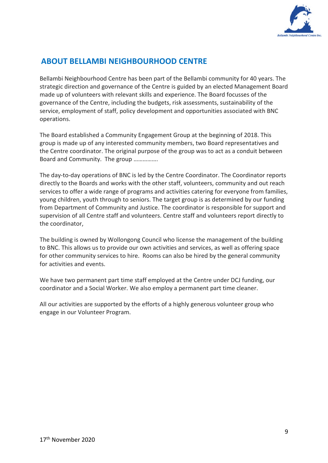

# **ABOUT BELLAMBI NEIGHBOURHOOD CENTRE**

Bellambi Neighbourhood Centre has been part of the Bellambi community for 40 years. The strategic direction and governance of the Centre is guided by an elected Management Board made up of volunteers with relevant skills and experience. The Board focusses of the governance of the Centre, including the budgets, risk assessments, sustainability of the service, employment of staff, policy development and opportunities associated with BNC operations.

The Board established a Community Engagement Group at the beginning of 2018. This group is made up of any interested community members, two Board representatives and the Centre coordinator. The original purpose of the group was to act as a conduit between Board and Community. The group …………….

The day-to-day operations of BNC is led by the Centre Coordinator. The Coordinator reports directly to the Boards and works with the other staff, volunteers, community and out reach services to offer a wide range of programs and activities catering for everyone from families, young children, youth through to seniors. The target group is as determined by our funding from Department of Community and Justice. The coordinator is responsible for support and supervision of all Centre staff and volunteers. Centre staff and volunteers report directly to the coordinator,

The building is owned by Wollongong Council who license the management of the building to BNC. This allows us to provide our own activities and services, as well as offering space for other community services to hire. Rooms can also be hired by the general community for activities and events.

We have two permanent part time staff employed at the Centre under DCJ funding, our coordinator and a Social Worker. We also employ a permanent part time cleaner.

All our activities are supported by the efforts of a highly generous volunteer group who engage in our Volunteer Program.